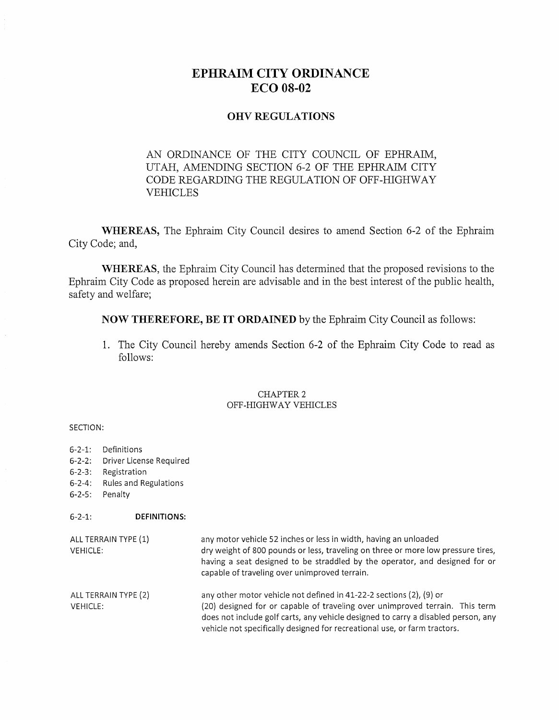# EPHRAIM CITY ORDINANCE ECO 08-02

## **OHV REGULATIONS**

# AN ORDINANCE OF THE CITY COUNCIL OF EPHRAIM, UTAH, AMENDING SECTION 6-2 OF THE EPHRAIM CITY CODE REGARDING THE REGULATION OF OFF-HIGHWAY VEHICLES

**WHEREAS,** The Ephraim City Council desires to amend Section 6-2 of the Ephraim City Code; and,

**WHEREAS,** the Ephraim City Council has determined that the proposed revisions to the Ephraim City Code as proposed herein are advisable and in the best interest of the public health, safety and welfare;

**NOW THEREFORE, BE IT ORDAINED** by the Ephraim City Council as follows:

1. The City Council hereby amends Section 6-2 of the Ephraim City Code to read as follows:

#### CHAPTER 2 OFF-HIGHWAY VEHICLES

#### SECTION:

6-2-1: Definitions

6-2-3: Registration

6-2-2: Driver License Required

6-2-4: Rules and Regulations

| $6 - 2 - 5$ :<br>Penalty                |                     |                                                                                                                                                                                                                                                                                                                       |
|-----------------------------------------|---------------------|-----------------------------------------------------------------------------------------------------------------------------------------------------------------------------------------------------------------------------------------------------------------------------------------------------------------------|
| $6 - 2 - 1$ :                           | <b>DEFINITIONS:</b> |                                                                                                                                                                                                                                                                                                                       |
| ALL TERRAIN TYPE (1)<br>VEHICLE:        |                     | any motor vehicle 52 inches or less in width, having an unloaded<br>dry weight of 800 pounds or less, traveling on three or more low pressure tires,<br>having a seat designed to be straddled by the operator, and designed for or<br>capable of traveling over unimproved terrain.                                  |
| ALL TERRAIN TYPE (2)<br><b>VEHICLE:</b> |                     | any other motor vehicle not defined in 41-22-2 sections (2), (9) or<br>(20) designed for or capable of traveling over unimproved terrain. This term<br>does not include golf carts, any vehicle designed to carry a disabled person, any<br>vehicle not specifically designed for recreational use, or farm tractors. |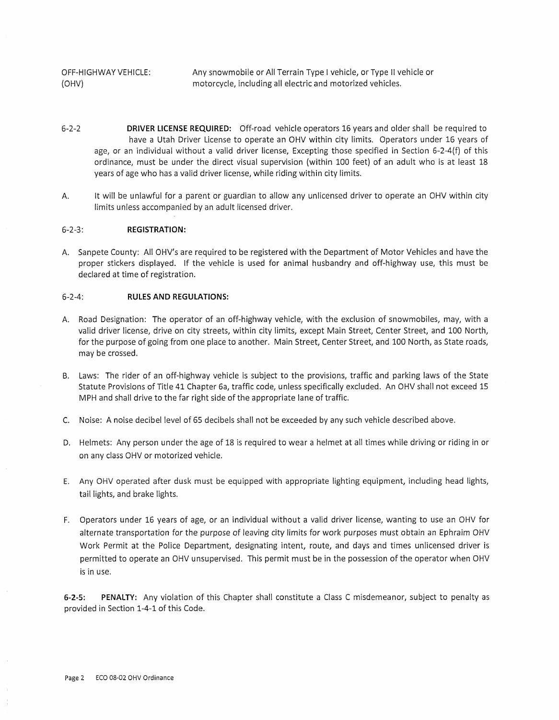OFF-HIGHWAY VEHICLE: Any snowmobile or All Terrain Type I vehicle, or Type II vehicle or (OHV) motorcycle, including all electric and motorized vehicles.

- 6-2-2 **DRIVER LICENSE REQUIRED:** Off-road vehicle operators 16 years and older shall be required to have a Utah Driver License to operate an OHV within city limits. Operators under 16 years of age, or an individual without a valid driver license, Excepting those specified in Section 6-2-4(f) of this ordinance, must be under the direct visual supervision (within 100 feet) of an adult who is at least 18 years of age who has a valid driver license, while riding within city limits.
- A. It will be unlawful for a parent or guardian to allow any unlicensed driver to operate an OHV within city limits unless accompanied by an adult licensed driver.

#### 6-2-3: **REGISTRATION:**

A. Sanpete County: All OHV's are required to be registered with the Department of Motor Vehicles and have the proper stickers displayed. If the vehicle is used for animal husbandry and off-highway use, this must be declared at time of registration.

#### 6-2-4: **RULES AND REGULATIONS:**

- A. Road Designation: The operator of an off-highway vehicle, with the exclusion of snowmobiles, may, with a valid driver license, drive on city streets, within city limits, except Main Street, Center Street, and 100 North, for the purpose of going from one place to another. Main Street, Center Street, and 100 North, as State roads, may be crossed.
- B. Laws: The rider of an off-highway vehicle is subject to the provisions, traffic and parking laws of the State Statute Provisions of Title 41 Chapter 6a, traffic code, unless specifically excluded. An OHV shall not exceed 15 MPH and shall drive to the far right side of the appropriate lane of traffic.
- C. Noise: A noise decibel level of 65 decibels shall not be exceeded by any such vehicle described above.
- D. Helmets: Any person under the age of 18 is required to wear a helmet at all times while driving or riding in or on any class OHV or motorized vehicle.
- E. Any OHV operated after dusk must be equipped with appropriate lighting equipment, including head lights, tail lights, and brake lights.
- F. Operators under 16 years of age, or an individual without a valid driver license, wanting to use an OHV for alternate transportation for the purpose of leaving city limits for work purposes must obtain an Ephraim OHV Work Permit at the Police Department, designating intent, route, and days and times unlicensed driver is permitted to operate an OHV unsupervised. This permit must be in the possession of the operator when OHV is in use.

**6-2-5: PENALTY:** Any violation of this Chapter shall constitute a Class C misdemeanor, subject to penalty as provided in Section 1-4-1 of this Code.